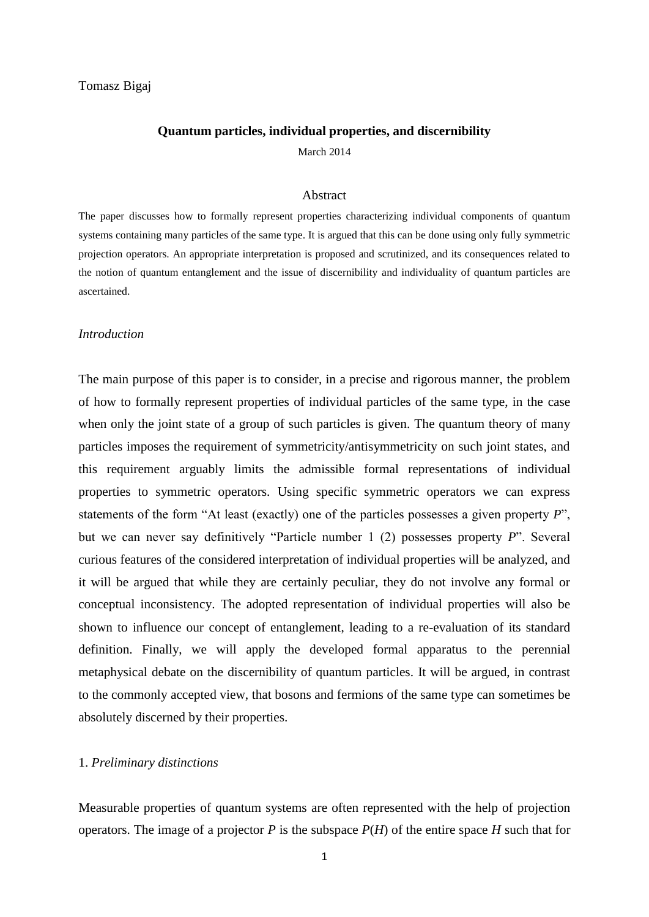# Tomasz Bigaj

### **Quantum particles, individual properties, and discernibility**

March 2014

#### Abstract

The paper discusses how to formally represent properties characterizing individual components of quantum systems containing many particles of the same type. It is argued that this can be done using only fully symmetric projection operators. An appropriate interpretation is proposed and scrutinized, and its consequences related to the notion of quantum entanglement and the issue of discernibility and individuality of quantum particles are ascertained.

#### *Introduction*

The main purpose of this paper is to consider, in a precise and rigorous manner, the problem of how to formally represent properties of individual particles of the same type, in the case when only the joint state of a group of such particles is given. The quantum theory of many particles imposes the requirement of symmetricity/antisymmetricity on such joint states, and this requirement arguably limits the admissible formal representations of individual properties to symmetric operators. Using specific symmetric operators we can express statements of the form "At least (exactly) one of the particles possesses a given property *P*", but we can never say definitively "Particle number 1 (2) possesses property *P*". Several curious features of the considered interpretation of individual properties will be analyzed, and it will be argued that while they are certainly peculiar, they do not involve any formal or conceptual inconsistency. The adopted representation of individual properties will also be shown to influence our concept of entanglement, leading to a re-evaluation of its standard definition. Finally, we will apply the developed formal apparatus to the perennial metaphysical debate on the discernibility of quantum particles. It will be argued, in contrast to the commonly accepted view, that bosons and fermions of the same type can sometimes be absolutely discerned by their properties.

# 1. *Preliminary distinctions*

Measurable properties of quantum systems are often represented with the help of projection operators. The image of a projector *P* is the subspace  $P(H)$  of the entire space *H* such that for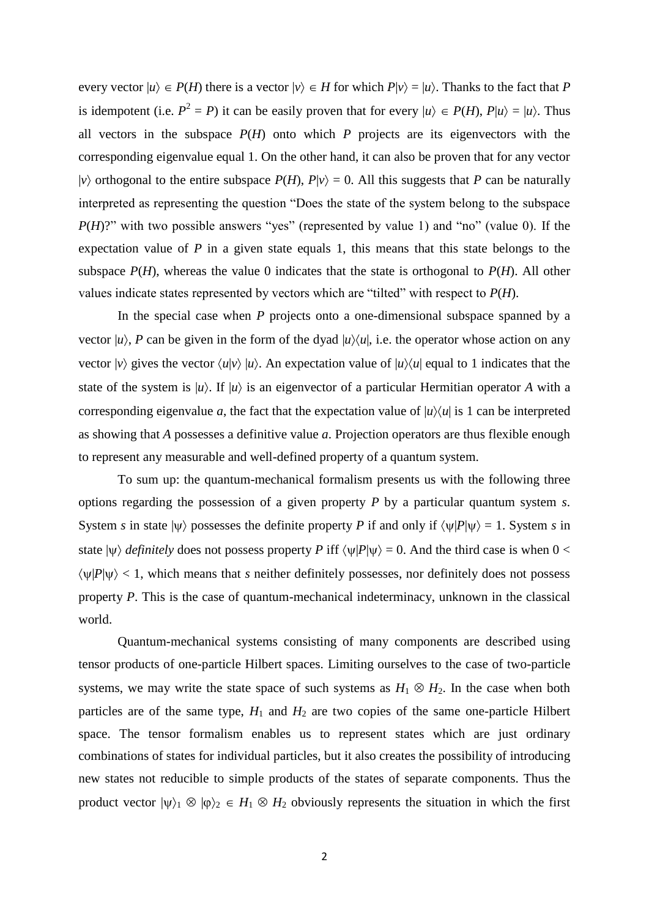every vector  $|u\rangle \in P(H)$  there is a vector  $|v\rangle \in H$  for which  $P|v\rangle = |u\rangle$ . Thanks to the fact that P is idempotent (i.e.  $P^2 = P$ ) it can be easily proven that for every  $|u\rangle \in P(H)$ ,  $P|u\rangle = |u\rangle$ . Thus all vectors in the subspace  $P(H)$  onto which  $P$  projects are its eigenvectors with the corresponding eigenvalue equal 1. On the other hand, it can also be proven that for any vector  $|v\rangle$  orthogonal to the entire subspace  $P(H)$ ,  $P|v\rangle = 0$ . All this suggests that *P* can be naturally interpreted as representing the question "Does the state of the system belong to the subspace *P*(*H*)?" with two possible answers "yes" (represented by value 1) and "no" (value 0). If the expectation value of *P* in a given state equals 1, this means that this state belongs to the subspace  $P(H)$ , whereas the value 0 indicates that the state is orthogonal to  $P(H)$ . All other values indicate states represented by vectors which are "tilted" with respect to *P*(*H*).

In the special case when *P* projects onto a one-dimensional subspace spanned by a vector  $|u\rangle$ , *P* can be given in the form of the dyad  $|u\rangle\langle u|$ , i.e. the operator whose action on any vector  $|v\rangle$  gives the vector  $\langle u|v\rangle |u\rangle$ . An expectation value of  $|u\rangle\langle u|$  equal to 1 indicates that the state of the system is  $|u\rangle$ . If  $|u\rangle$  is an eigenvector of a particular Hermitian operator *A* with a corresponding eigenvalue *a*, the fact that the expectation value of  $|u\rangle\langle u|$  is 1 can be interpreted as showing that *A* possesses a definitive value *a*. Projection operators are thus flexible enough to represent any measurable and well-defined property of a quantum system.

To sum up: the quantum-mechanical formalism presents us with the following three options regarding the possession of a given property *P* by a particular quantum system *s*. System *s* in state  $|\psi\rangle$  possesses the definite property *P* if and only if  $\langle \psi | P | \psi \rangle = 1$ . System *s* in state  $|\psi\rangle$  *definitely* does not possess property *P* iff  $\langle \psi | P | \psi \rangle = 0$ . And the third case is when  $0 <$  $\langle \psi | P | \psi \rangle$  < 1, which means that *s* neither definitely possesses, nor definitely does not possess property *P*. This is the case of quantum-mechanical indeterminacy, unknown in the classical world.

Quantum-mechanical systems consisting of many components are described using tensor products of one-particle Hilbert spaces. Limiting ourselves to the case of two-particle systems, we may write the state space of such systems as  $H_1 \otimes H_2$ . In the case when both particles are of the same type,  $H_1$  and  $H_2$  are two copies of the same one-particle Hilbert space. The tensor formalism enables us to represent states which are just ordinary combinations of states for individual particles, but it also creates the possibility of introducing new states not reducible to simple products of the states of separate components. Thus the product vector  $|\psi\rangle_1 \otimes |\phi\rangle_2 \in H_1 \otimes H_2$  obviously represents the situation in which the first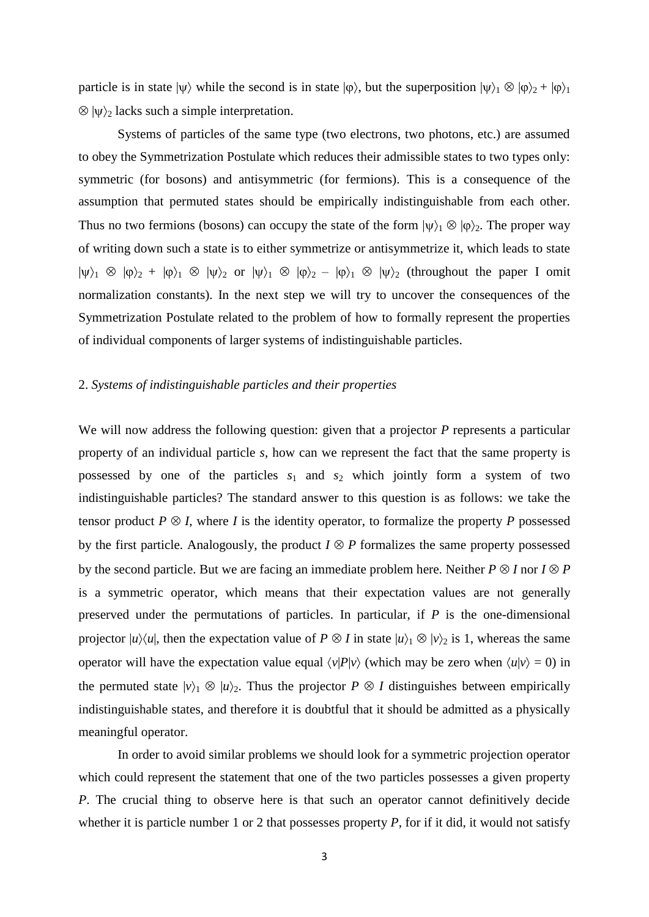particle is in state  $|\psi\rangle$  while the second is in state  $|\varphi\rangle$ , but the superposition  $|\psi\rangle_1 \otimes |\varphi\rangle_2 + |\varphi\rangle_1$  $\otimes$   $|\psi\rangle_2$  lacks such a simple interpretation.

Systems of particles of the same type (two electrons, two photons, etc.) are assumed to obey the Symmetrization Postulate which reduces their admissible states to two types only: symmetric (for bosons) and antisymmetric (for fermions). This is a consequence of the assumption that permuted states should be empirically indistinguishable from each other. Thus no two fermions (bosons) can occupy the state of the form  $|\psi\rangle_1 \otimes |\phi\rangle_2$ . The proper way of writing down such a state is to either symmetrize or antisymmetrize it, which leads to state  $|\psi\rangle_1 \otimes |\phi\rangle_2 + |\phi\rangle_1 \otimes |\psi\rangle_2$  or  $|\psi\rangle_1 \otimes |\phi\rangle_2 - |\phi\rangle_1 \otimes |\psi\rangle_2$  (throughout the paper I omit normalization constants). In the next step we will try to uncover the consequences of the Symmetrization Postulate related to the problem of how to formally represent the properties of individual components of larger systems of indistinguishable particles.

## 2. *Systems of indistinguishable particles and their properties*

We will now address the following question: given that a projector P represents a particular property of an individual particle *s*, how can we represent the fact that the same property is possessed by one of the particles  $s_1$  and  $s_2$  which jointly form a system of two indistinguishable particles? The standard answer to this question is as follows: we take the tensor product  $P \otimes I$ , where *I* is the identity operator, to formalize the property *P* possessed by the first particle. Analogously, the product  $I \otimes P$  formalizes the same property possessed by the second particle. But we are facing an immediate problem here. Neither  $P \otimes I$  nor  $I \otimes P$ is a symmetric operator, which means that their expectation values are not generally preserved under the permutations of particles. In particular, if *P* is the one-dimensional projector  $|u\rangle\langle u|$ , then the expectation value of  $P \otimes I$  in state  $|u\rangle_1 \otimes |v\rangle_2$  is 1, whereas the same operator will have the expectation value equal  $\langle v|P|v \rangle$  (which may be zero when  $\langle u|v \rangle = 0$ ) in the permuted state  $|v\rangle_1 \otimes |u\rangle_2$ . Thus the projector  $P \otimes I$  distinguishes between empirically indistinguishable states, and therefore it is doubtful that it should be admitted as a physically meaningful operator.

In order to avoid similar problems we should look for a symmetric projection operator which could represent the statement that one of the two particles possesses a given property *P*. The crucial thing to observe here is that such an operator cannot definitively decide whether it is particle number 1 or 2 that possesses property *P*, for if it did, it would not satisfy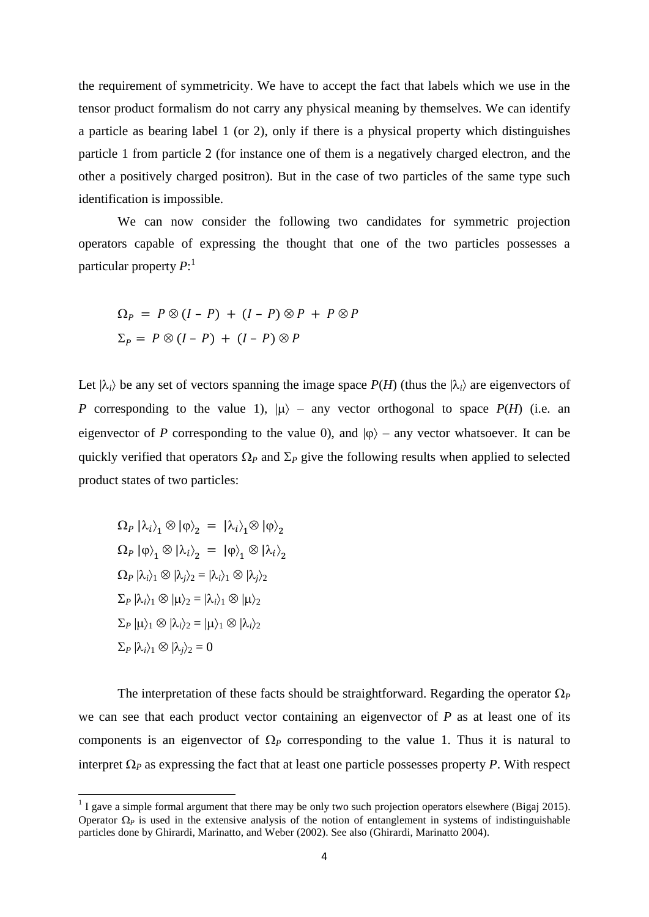the requirement of symmetricity. We have to accept the fact that labels which we use in the tensor product formalism do not carry any physical meaning by themselves. We can identify a particle as bearing label 1 (or 2), only if there is a physical property which distinguishes particle 1 from particle 2 (for instance one of them is a negatively charged electron, and the other a positively charged positron). But in the case of two particles of the same type such identification is impossible.

We can now consider the following two candidates for symmetric projection operators capable of expressing the thought that one of the two particles possesses a particular property *P*: 1

$$
\Omega_P = P \otimes (I - P) + (I - P) \otimes P + P \otimes P
$$
  

$$
\Sigma_P = P \otimes (I - P) + (I - P) \otimes P
$$

Let  $|\lambda_i\rangle$  be any set of vectors spanning the image space  $P(H)$  (thus the  $|\lambda_i\rangle$  are eigenvectors of *P* corresponding to the value 1),  $|\mu\rangle$  – any vector orthogonal to space *P(H)* (i.e. an eigenvector of *P* corresponding to the value 0), and  $|\phi\rangle$  – any vector whatsoever. It can be quickly verified that operators  $\Omega_P$  and  $\Sigma_P$  give the following results when applied to selected product states of two particles:

 $\left\langle \Omega_{P}\left|\lambda_{i}\right\rangle _{1}\otimes\left|\phi\right\rangle _{2}\right. =\left.\left|\lambda_{i}\right\rangle _{1}\otimes\left|\phi\right\rangle _{2}\right.$  $\Omega_{P}\left\vert \phi\right\rangle _{1}\otimes\left\vert \lambda_{i}\right\rangle _{2}\;=\;\left\vert \phi\right\rangle _{1}\otimes\left\vert \lambda_{i}\right\rangle _{2}$  $\Omega_P |\lambda_i\rangle_1 \otimes |\lambda_i\rangle_2 = |\lambda_i\rangle_1 \otimes |\lambda_i\rangle_2$  $\Sigma_P |\lambda_i\rangle_1 \otimes |\mu\rangle_2 = |\lambda_i\rangle_1 \otimes |\mu\rangle_2$  $\Sigma_P |\mu\rangle_1 \otimes |\lambda_i\rangle_2 = |\mu\rangle_1 \otimes |\lambda_i\rangle_2$  $\Sigma_P |\lambda_i\rangle_1 \otimes |\lambda_i\rangle_2 = 0$ 

The interpretation of these facts should be straightforward. Regarding the operator  $\Omega_P$ we can see that each product vector containing an eigenvector of *P* as at least one of its components is an eigenvector of  $\Omega$ <sub>*P*</sub> corresponding to the value 1. Thus it is natural to interpret  $\Omega$ <sub>*P*</sub> as expressing the fact that at least one particle possesses property *P*. With respect

<sup>&</sup>lt;sup>1</sup> I gave a simple formal argument that there may be only two such projection operators elsewhere (Bigaj 2015). Operator  $\Omega_p$  is used in the extensive analysis of the notion of entanglement in systems of indistinguishable particles done by Ghirardi, Marinatto, and Weber (2002). See also (Ghirardi, Marinatto 2004).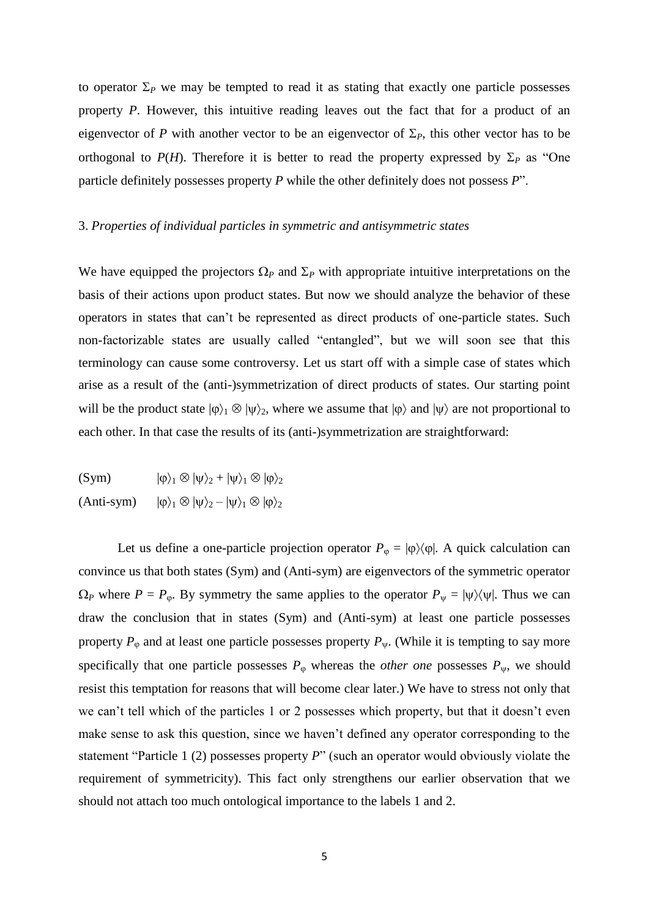to operator  $\Sigma_P$  we may be tempted to read it as stating that exactly one particle possesses property *P*. However, this intuitive reading leaves out the fact that for a product of an eigenvector of *P* with another vector to be an eigenvector of  $\Sigma_P$ , this other vector has to be orthogonal to  $P(H)$ . Therefore it is better to read the property expressed by  $\Sigma_P$  as "One particle definitely possesses property *P* while the other definitely does not possess *P*".

## 3. *Properties of individual particles in symmetric and antisymmetric states*

We have equipped the projectors  $\Omega_P$  and  $\Sigma_P$  with appropriate intuitive interpretations on the basis of their actions upon product states. But now we should analyze the behavior of these operators in states that can't be represented as direct products of one-particle states. Such non-factorizable states are usually called "entangled", but we will soon see that this terminology can cause some controversy. Let us start off with a simple case of states which arise as a result of the (anti-)symmetrization of direct products of states. Our starting point will be the product state  $|\varphi\rangle_1 \otimes |\psi\rangle_2$ , where we assume that  $|\varphi\rangle$  and  $|\psi\rangle$  are not proportional to each other. In that case the results of its (anti-)symmetrization are straightforward:

 $(\text{Sym})$   $|\phi\rangle_1 \otimes |\psi\rangle_2 + |\psi\rangle_1 \otimes |\phi\rangle_2$  $(Anti-sym)$   $|\varphi\rangle_1 \otimes |\psi\rangle_2 - |\psi\rangle_1 \otimes |\varphi\rangle_2$ 

Let us define a one-particle projection operator  $P_{\varphi} = |\varphi\rangle\langle\varphi|$ . A quick calculation can convince us that both states (Sym) and (Anti-sym) are eigenvectors of the symmetric operator  $\Omega_P$  where  $P = P_{\varphi}$ . By symmetry the same applies to the operator  $P_{\psi} = |\psi\rangle\langle\psi|$ . Thus we can draw the conclusion that in states (Sym) and (Anti-sym) at least one particle possesses property  $P_{\varphi}$  and at least one particle possesses property  $P_{\psi}$ . (While it is tempting to say more specifically that one particle possesses  $P_{\varphi}$  whereas the *other one* possesses  $P_{\psi}$ , we should resist this temptation for reasons that will become clear later.) We have to stress not only that we can't tell which of the particles 1 or 2 possesses which property, but that it doesn't even make sense to ask this question, since we haven't defined any operator corresponding to the statement "Particle 1 (2) possesses property *P*" (such an operator would obviously violate the requirement of symmetricity). This fact only strengthens our earlier observation that we should not attach too much ontological importance to the labels 1 and 2.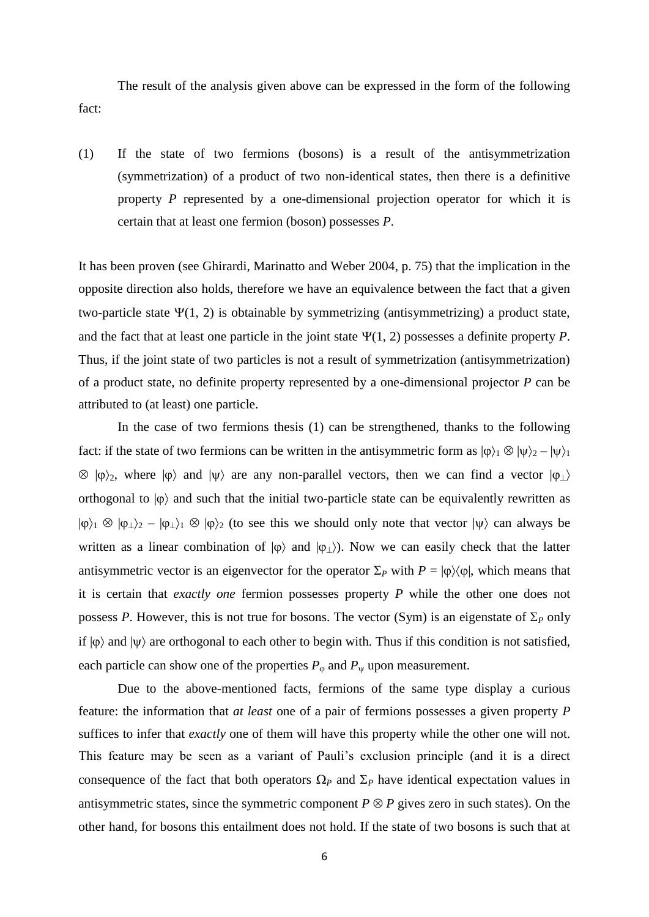The result of the analysis given above can be expressed in the form of the following fact:

(1) If the state of two fermions (bosons) is a result of the antisymmetrization (symmetrization) of a product of two non-identical states, then there is a definitive property *P* represented by a one-dimensional projection operator for which it is certain that at least one fermion (boson) possesses *P*.

It has been proven (see Ghirardi, Marinatto and Weber 2004, p. 75) that the implication in the opposite direction also holds, therefore we have an equivalence between the fact that a given two-particle state  $\Psi(1, 2)$  is obtainable by symmetrizing (antisymmetrizing) a product state, and the fact that at least one particle in the joint state  $\Psi(1, 2)$  possesses a definite property *P*. Thus, if the joint state of two particles is not a result of symmetrization (antisymmetrization) of a product state, no definite property represented by a one-dimensional projector *P* can be attributed to (at least) one particle.

In the case of two fermions thesis (1) can be strengthened, thanks to the following fact: if the state of two fermions can be written in the antisymmetric form as  $|\varphi\rangle_1 \otimes |\psi\rangle_2 - |\psi\rangle_1$  $\otimes$   $|\varphi\rangle_2$ , where  $|\varphi\rangle$  and  $|\psi\rangle$  are any non-parallel vectors, then we can find a vector  $|\varphi_{\perp}\rangle$ orthogonal to  $|\phi\rangle$  and such that the initial two-particle state can be equivalently rewritten as  $|\varphi\rangle_1 \otimes |\varphi_1\rangle_2 - |\varphi_1\rangle_1 \otimes |\varphi\rangle_2$  (to see this we should only note that vector  $|\psi\rangle$  can always be written as a linear combination of  $|\phi\rangle$  and  $|\phi_{\perp}\rangle$ . Now we can easily check that the latter antisymmetric vector is an eigenvector for the operator  $\Sigma_P$  with  $P = |\phi\rangle\langle\phi|$ , which means that it is certain that *exactly one* fermion possesses property *P* while the other one does not possess *P*. However, this is not true for bosons. The vector (Sym) is an eigenstate of  $\Sigma_p$  only if  $|\phi\rangle$  and  $|\psi\rangle$  are orthogonal to each other to begin with. Thus if this condition is not satisfied, each particle can show one of the properties  $P_{\varphi}$  and  $P_{\psi}$  upon measurement.

Due to the above-mentioned facts, fermions of the same type display a curious feature: the information that *at least* one of a pair of fermions possesses a given property *P* suffices to infer that *exactly* one of them will have this property while the other one will not. This feature may be seen as a variant of Pauli's exclusion principle (and it is a direct consequence of the fact that both operators  $\Omega_P$  and  $\Sigma_P$  have identical expectation values in antisymmetric states, since the symmetric component  $P \otimes P$  gives zero in such states). On the other hand, for bosons this entailment does not hold. If the state of two bosons is such that at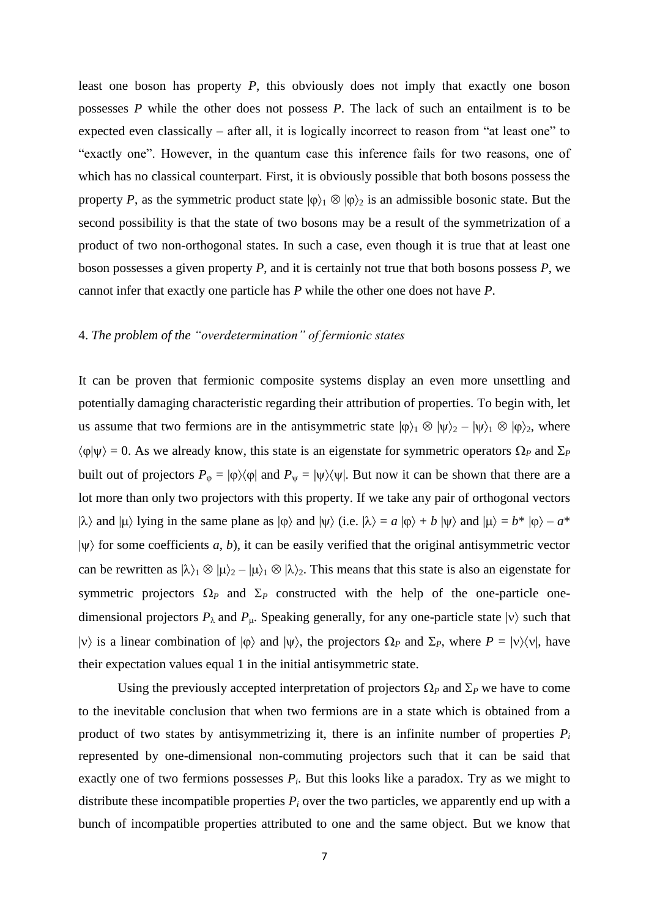least one boson has property *P*, this obviously does not imply that exactly one boson possesses *P* while the other does not possess *P*. The lack of such an entailment is to be expected even classically – after all, it is logically incorrect to reason from "at least one" to "exactly one". However, in the quantum case this inference fails for two reasons, one of which has no classical counterpart. First, it is obviously possible that both bosons possess the property *P*, as the symmetric product state  $|\varphi\rangle_1 \otimes |\varphi\rangle_2$  is an admissible bosonic state. But the second possibility is that the state of two bosons may be a result of the symmetrization of a product of two non-orthogonal states. In such a case, even though it is true that at least one boson possesses a given property *P*, and it is certainly not true that both bosons possess *P*, we cannot infer that exactly one particle has *P* while the other one does not have *P*.

## 4. *The problem of the "overdetermination" of fermionic states*

It can be proven that fermionic composite systems display an even more unsettling and potentially damaging characteristic regarding their attribution of properties. To begin with, let us assume that two fermions are in the antisymmetric state  $|\phi\rangle_1 \otimes |\psi\rangle_2 - |\psi\rangle_1 \otimes |\phi\rangle_2$ , where  $\langle \varphi | \psi \rangle = 0$ . As we already know, this state is an eigenstate for symmetric operators  $\Omega_P$  and  $\Sigma_P$ built out of projectors  $P_{\varphi} = |\varphi\rangle\langle\varphi|$  and  $P_{\psi} = |\psi\rangle\langle\psi|$ . But now it can be shown that there are a lot more than only two projectors with this property. If we take any pair of orthogonal vectors  $|\lambda\rangle$  and  $|\mu\rangle$  lying in the same plane as  $|\varphi\rangle$  and  $|\psi\rangle$  (i.e.  $|\lambda\rangle = a |\varphi\rangle + b |\psi\rangle$  and  $|\mu\rangle = b^* |\varphi\rangle - a^*$  $|\psi\rangle$  for some coefficients *a*, *b*), it can be easily verified that the original antisymmetric vector can be rewritten as  $|\lambda\rangle_1 \otimes |\mu\rangle_2 - |\mu\rangle_1 \otimes |\lambda\rangle_2$ . This means that this state is also an eigenstate for symmetric projectors  $\Omega$ <sub>P</sub> and  $\Sigma$ <sub>P</sub> constructed with the help of the one-particle onedimensional projectors  $P_{\lambda}$  and  $P_{\mu}$ . Speaking generally, for any one-particle state  $|v\rangle$  such that  $|v\rangle$  is a linear combination of  $|\varphi\rangle$  and  $|\psi\rangle$ , the projectors  $\Omega_P$  and  $\Sigma_P$ , where  $P = |v\rangle\langle v|$ , have their expectation values equal 1 in the initial antisymmetric state.

Using the previously accepted interpretation of projectors  $\Omega_P$  and  $\Sigma_P$  we have to come to the inevitable conclusion that when two fermions are in a state which is obtained from a product of two states by antisymmetrizing it, there is an infinite number of properties  $P_i$ represented by one-dimensional non-commuting projectors such that it can be said that exactly one of two fermions possesses  $P_i$ . But this looks like a paradox. Try as we might to distribute these incompatible properties  $P_i$  over the two particles, we apparently end up with a bunch of incompatible properties attributed to one and the same object. But we know that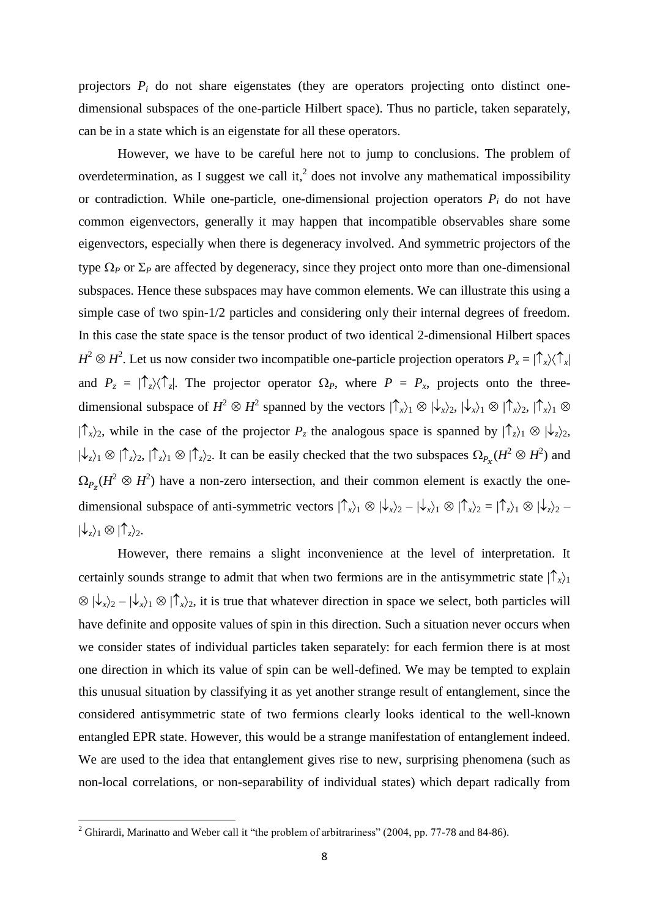projectors  $P_i$  do not share eigenstates (they are operators projecting onto distinct onedimensional subspaces of the one-particle Hilbert space). Thus no particle, taken separately, can be in a state which is an eigenstate for all these operators.

However, we have to be careful here not to jump to conclusions. The problem of overdetermination, as I suggest we call it,<sup>2</sup> does not involve any mathematical impossibility or contradiction. While one-particle, one-dimensional projection operators  $P_i$  do not have common eigenvectors, generally it may happen that incompatible observables share some eigenvectors, especially when there is degeneracy involved. And symmetric projectors of the type  $\Omega_P$  or  $\Sigma_P$  are affected by degeneracy, since they project onto more than one-dimensional subspaces. Hence these subspaces may have common elements. We can illustrate this using a simple case of two spin-1/2 particles and considering only their internal degrees of freedom. In this case the state space is the tensor product of two identical 2-dimensional Hilbert spaces  $H^2 \otimes H^2$ . Let us now consider two incompatible one-particle projection operators  $P_x = |\uparrow_x\rangle\langle\uparrow_x|$ and  $P_z = |\uparrow_z\rangle\langle\uparrow_z|$ . The projector operator  $\Omega_P$ , where  $P = P_x$ , projects onto the threedimensional subspace of  $H^2 \otimes H^2$  spanned by the vectors  $|\hat{\uparrow}_x\rangle_1 \otimes |\psi_x\rangle_2$ ,  $|\psi_x\rangle_1 \otimes |\hat{\uparrow}_x\rangle_2$ ,  $|\hat{\uparrow}_x\rangle_1 \otimes$  $|\int_{-\infty}^{\infty}$  while in the case of the projector  $P_z$  the analogous space is spanned by  $|\int_{z=2}^{\infty}$   $|\psi_z\rangle_2$ ,  $|\psi_z\rangle_1 \otimes |\hat{\zeta}_z\rangle_1 \otimes |\hat{\zeta}_z\rangle_1 \otimes |\hat{\zeta}_z\rangle_2$ . It can be easily checked that the two subspaces  $\Omega_{P_\gamma}(H^2 \otimes H^2)$  and  $\Omega_{P_{\sigma}}(H^2 \otimes H^2)$  have a non-zero intersection, and their common element is exactly the onedimensional subspace of anti-symmetric vectors  $|\hat{\uparrow}_x\rangle_1 \otimes |\psi_x\rangle_2 - |\psi_x\rangle_1 \otimes |\hat{\uparrow}_x\rangle_2 = |\hat{\uparrow}_z\rangle_1 \otimes |\psi_z\rangle_2 |\psi_{z}\rangle_{1} \otimes |\hat{\mathcal{L}}_{z}\rangle_{2}.$ 

However, there remains a slight inconvenience at the level of interpretation. It certainly sounds strange to admit that when two fermions are in the antisymmetric state  $|\hat{\mathcal{T}}_x\rangle_1$  $\otimes$   $|\psi_{x}\rangle_2 - |\psi_{x}\rangle_1 \otimes |\uparrow_{x}\rangle_2$ , it is true that whatever direction in space we select, both particles will have definite and opposite values of spin in this direction. Such a situation never occurs when we consider states of individual particles taken separately: for each fermion there is at most one direction in which its value of spin can be well-defined. We may be tempted to explain this unusual situation by classifying it as yet another strange result of entanglement, since the considered antisymmetric state of two fermions clearly looks identical to the well-known entangled EPR state. However, this would be a strange manifestation of entanglement indeed. We are used to the idea that entanglement gives rise to new, surprising phenomena (such as non-local correlations, or non-separability of individual states) which depart radically from

**.** 

<sup>&</sup>lt;sup>2</sup> Ghirardi, Marinatto and Weber call it "the problem of arbitrariness" (2004, pp. 77-78 and 84-86).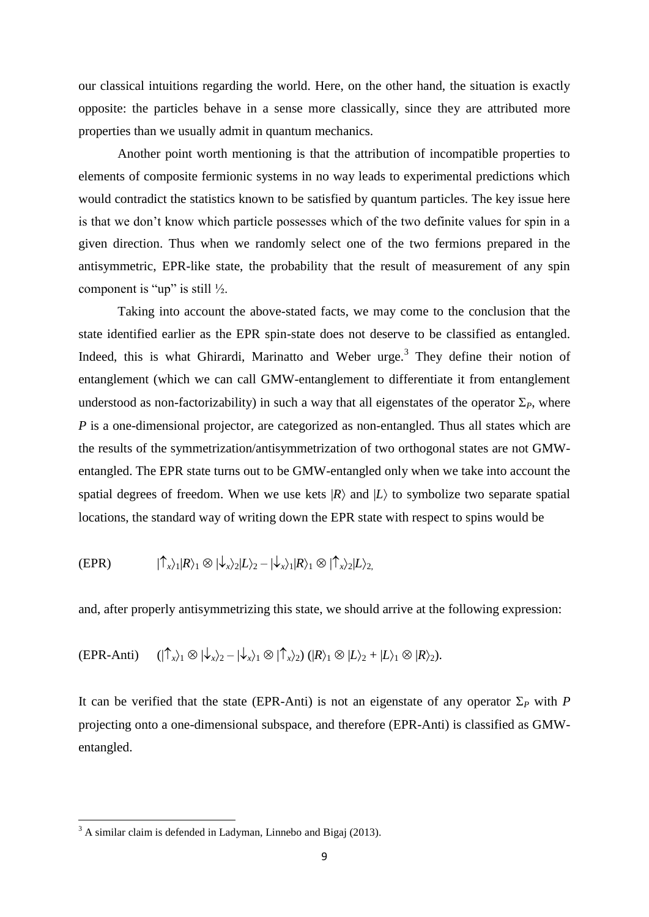our classical intuitions regarding the world. Here, on the other hand, the situation is exactly opposite: the particles behave in a sense more classically, since they are attributed more properties than we usually admit in quantum mechanics.

Another point worth mentioning is that the attribution of incompatible properties to elements of composite fermionic systems in no way leads to experimental predictions which would contradict the statistics known to be satisfied by quantum particles. The key issue here is that we don't know which particle possesses which of the two definite values for spin in a given direction. Thus when we randomly select one of the two fermions prepared in the antisymmetric, EPR-like state, the probability that the result of measurement of any spin component is "up" is still  $\frac{1}{2}$ .

Taking into account the above-stated facts, we may come to the conclusion that the state identified earlier as the EPR spin-state does not deserve to be classified as entangled. Indeed, this is what Ghirardi, Marinatto and Weber urge.<sup>3</sup> They define their notion of entanglement (which we can call GMW-entanglement to differentiate it from entanglement understood as non-factorizability) in such a way that all eigenstates of the operator  $\Sigma_p$ , where *P* is a one-dimensional projector, are categorized as non-entangled. Thus all states which are the results of the symmetrization/antisymmetrization of two orthogonal states are not GMWentangled. The EPR state turns out to be GMW-entangled only when we take into account the spatial degrees of freedom. When we use kets  $|R\rangle$  and  $|L\rangle$  to symbolize two separate spatial locations, the standard way of writing down the EPR state with respect to spins would be

$$
(\text{EPR}) \qquad |\uparrow_x\rangle_1 |R\rangle_1 \otimes |\downarrow_x\rangle_2 |L\rangle_2 - |\downarrow_x\rangle_1 |R\rangle_1 \otimes |\uparrow_x\rangle_2 |L\rangle_2
$$

and, after properly antisymmetrizing this state, we should arrive at the following expression:

$$
(\text{EPR-Anti}) \qquad (\uparrow \uparrow_{x}\uparrow_1 \otimes \uparrow \downarrow_{x}\uparrow_2 - \uparrow \downarrow_{x}\uparrow_1 \otimes \uparrow \uparrow_{x}\uparrow_2) \qquad (\mathbb{R}\uparrow_1 \otimes \mathbb{L}\uparrow_2 + \mathbb{L}\uparrow_1 \otimes \mathbb{R}\uparrow_2).
$$

It can be verified that the state (EPR-Anti) is not an eigenstate of any operator  $\Sigma_P$  with *P* projecting onto a one-dimensional subspace, and therefore (EPR-Anti) is classified as GMWentangled.

**.** 

 $3$  A similar claim is defended in Ladyman, Linnebo and Bigaj (2013).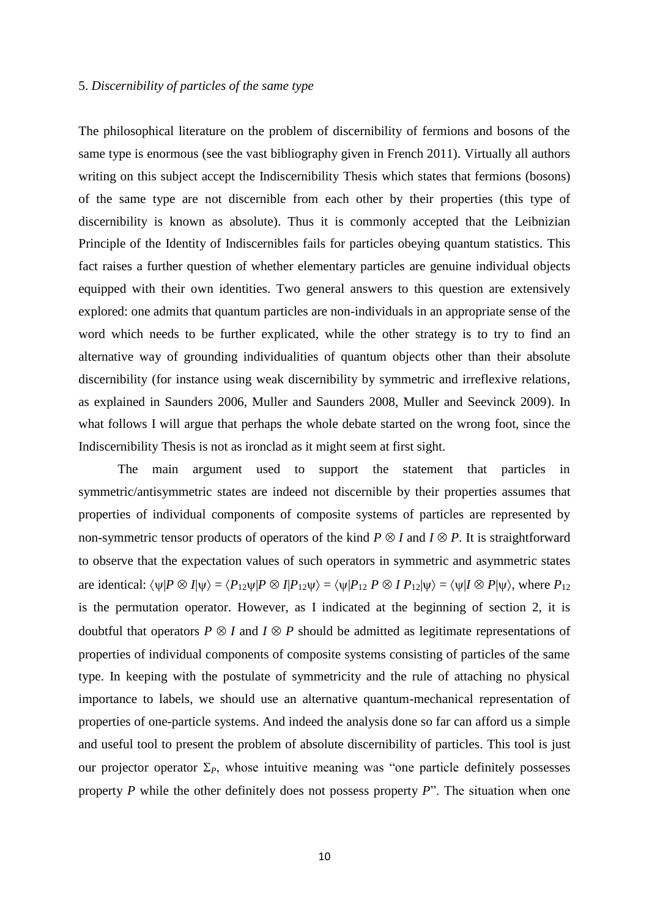# 5. *Discernibility of particles of the same type*

The philosophical literature on the problem of discernibility of fermions and bosons of the same type is enormous (see the vast bibliography given in French 2011). Virtually all authors writing on this subject accept the Indiscernibility Thesis which states that fermions (bosons) of the same type are not discernible from each other by their properties (this type of discernibility is known as absolute). Thus it is commonly accepted that the Leibnizian Principle of the Identity of Indiscernibles fails for particles obeying quantum statistics. This fact raises a further question of whether elementary particles are genuine individual objects equipped with their own identities. Two general answers to this question are extensively explored: one admits that quantum particles are non-individuals in an appropriate sense of the word which needs to be further explicated, while the other strategy is to try to find an alternative way of grounding individualities of quantum objects other than their absolute discernibility (for instance using weak discernibility by symmetric and irreflexive relations, as explained in Saunders 2006, Muller and Saunders 2008, Muller and Seevinck 2009). In what follows I will argue that perhaps the whole debate started on the wrong foot, since the Indiscernibility Thesis is not as ironclad as it might seem at first sight.

The main argument used to support the statement that particles in symmetric/antisymmetric states are indeed not discernible by their properties assumes that properties of individual components of composite systems of particles are represented by non-symmetric tensor products of operators of the kind  $P \otimes I$  and  $I \otimes P$ . It is straightforward to observe that the expectation values of such operators in symmetric and asymmetric states are identical:  $\langle \psi | P \otimes I | \psi \rangle = \langle P_{12} \psi | P \otimes I | P_{12} \psi \rangle = \langle \psi | P_{12} P \otimes I | P_{12} | \psi \rangle = \langle \psi | I \otimes P | \psi \rangle$ , where  $P_{12}$ is the permutation operator. However, as I indicated at the beginning of section 2, it is doubtful that operators  $P \otimes I$  and  $I \otimes P$  should be admitted as legitimate representations of properties of individual components of composite systems consisting of particles of the same type. In keeping with the postulate of symmetricity and the rule of attaching no physical importance to labels, we should use an alternative quantum-mechanical representation of properties of one-particle systems. And indeed the analysis done so far can afford us a simple and useful tool to present the problem of absolute discernibility of particles. This tool is just our projector operator  $\Sigma_{P}$ , whose intuitive meaning was "one particle definitely possesses property *P* while the other definitely does not possess property *P*". The situation when one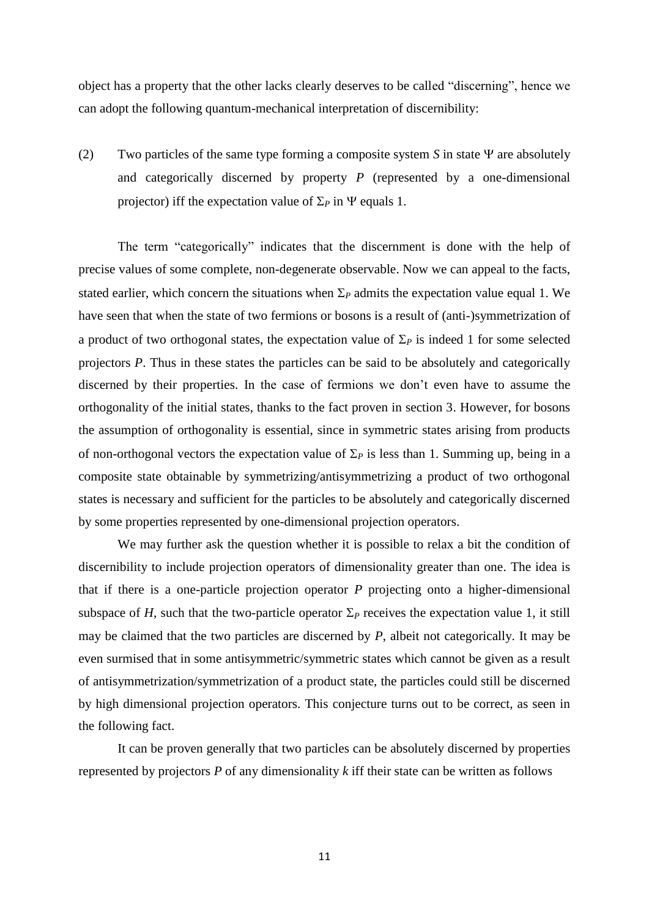object has a property that the other lacks clearly deserves to be called "discerning", hence we can adopt the following quantum-mechanical interpretation of discernibility:

(2) Two particles of the same type forming a composite system  $S$  in state  $\Psi$  are absolutely and categorically discerned by property *P* (represented by a one-dimensional projector) iff the expectation value of  $\Sigma_P$  in  $\Psi$  equals 1.

The term "categorically" indicates that the discernment is done with the help of precise values of some complete, non-degenerate observable. Now we can appeal to the facts, stated earlier, which concern the situations when  $\Sigma_P$  admits the expectation value equal 1. We have seen that when the state of two fermions or bosons is a result of (anti-)symmetrization of a product of two orthogonal states, the expectation value of  $\Sigma_P$  is indeed 1 for some selected projectors *P*. Thus in these states the particles can be said to be absolutely and categorically discerned by their properties. In the case of fermions we don't even have to assume the orthogonality of the initial states, thanks to the fact proven in section 3. However, for bosons the assumption of orthogonality is essential, since in symmetric states arising from products of non-orthogonal vectors the expectation value of  $\Sigma_p$  is less than 1. Summing up, being in a composite state obtainable by symmetrizing/antisymmetrizing a product of two orthogonal states is necessary and sufficient for the particles to be absolutely and categorically discerned by some properties represented by one-dimensional projection operators.

We may further ask the question whether it is possible to relax a bit the condition of discernibility to include projection operators of dimensionality greater than one. The idea is that if there is a one-particle projection operator *P* projecting onto a higher-dimensional subspace of *H*, such that the two-particle operator  $\Sigma_P$  receives the expectation value 1, it still may be claimed that the two particles are discerned by *P*, albeit not categorically. It may be even surmised that in some antisymmetric/symmetric states which cannot be given as a result of antisymmetrization/symmetrization of a product state, the particles could still be discerned by high dimensional projection operators. This conjecture turns out to be correct, as seen in the following fact.

It can be proven generally that two particles can be absolutely discerned by properties represented by projectors *P* of any dimensionality *k* iff their state can be written as follows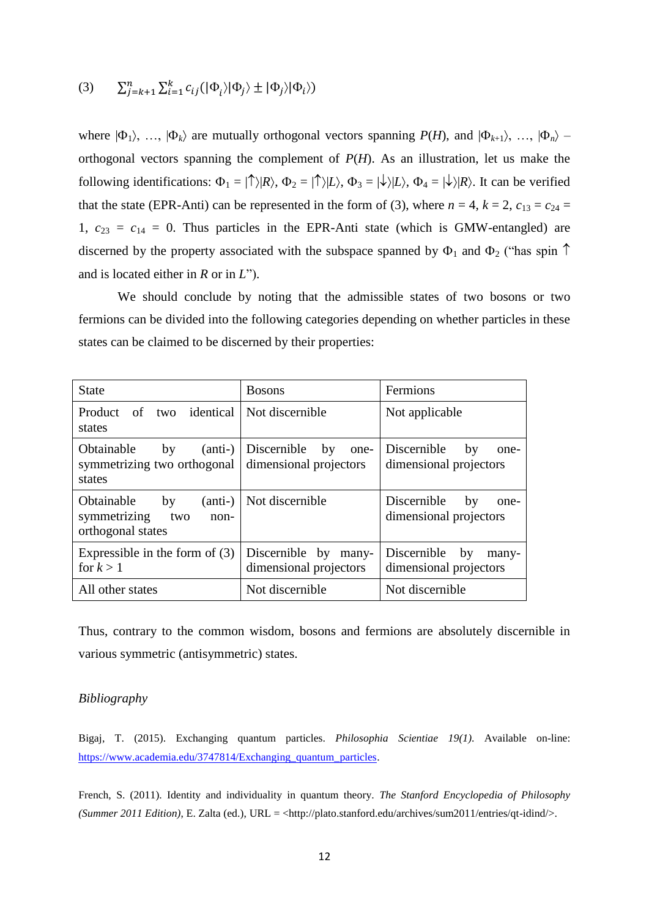$$
(3) \qquad \sum_{j=k+1}^{n} \sum_{i=1}^{k} c_{ij} (|\Phi_{i}\rangle |\Phi_{j}\rangle \pm |\Phi_{j}\rangle |\Phi_{i}\rangle)
$$

where  $|\Phi_1\rangle$ , …,  $|\Phi_k\rangle$  are mutually orthogonal vectors spanning  $P(H)$ , and  $|\Phi_{k+1}\rangle$ , …,  $|\Phi_n\rangle$  – orthogonal vectors spanning the complement of *P*(*H*). As an illustration, let us make the following identifications:  $\Phi_1 = |\uparrow\rangle |R\rangle$ ,  $\Phi_2 = |\uparrow\rangle |L\rangle$ ,  $\Phi_3 = |\downarrow\rangle |L\rangle$ ,  $\Phi_4 = |\downarrow\rangle |R\rangle$ . It can be verified that the state (EPR-Anti) can be represented in the form of (3), where  $n = 4$ ,  $k = 2$ ,  $c_{13} = c_{24} =$ 1,  $c_{23} = c_{14} = 0$ . Thus particles in the EPR-Anti state (which is GMW-entangled) are discerned by the property associated with the subspace spanned by  $\Phi_1$  and  $\Phi_2$  ("has spin  $\uparrow$ and is located either in *R* or in *L*").

We should conclude by noting that the admissible states of two bosons or two fermions can be divided into the following categories depending on whether particles in these states can be claimed to be discerned by their properties:

| <b>State</b>                                                                      | <b>Bosons</b>                                       | Fermions                                             |
|-----------------------------------------------------------------------------------|-----------------------------------------------------|------------------------------------------------------|
| Product<br>two identical<br>of<br>states                                          | Not discernible                                     | Not applicable                                       |
| Obtainable<br>$(anti-)$<br>by<br>symmetrizing two orthogonal<br>states            | Discernible<br>by<br>one-<br>dimensional projectors | Discernible<br>by<br>one-<br>dimensional projectors  |
| Obtainable<br>(anti-)<br>by<br>symmetrizing<br>two<br>$non-$<br>orthogonal states | Not discernible                                     | Discernible<br>by<br>one-<br>dimensional projectors  |
| Expressible in the form of $(3)$<br>for $k > 1$                                   | Discernible by many-<br>dimensional projectors      | Discernible<br>by<br>many-<br>dimensional projectors |
| All other states                                                                  | Not discernible                                     | Not discernible                                      |

Thus, contrary to the common wisdom, bosons and fermions are absolutely discernible in various symmetric (antisymmetric) states.

# *Bibliography*

Bigaj, T. (2015). Exchanging quantum particles. *Philosophia Scientiae 19(1)*. Available on-line: [https://www.academia.edu/3747814/Exchanging\\_quantum\\_particles.](https://www.academia.edu/3747814/Exchanging_quantum_particles)

French, S. (2011). Identity and individuality in quantum theory. *The Stanford Encyclopedia of Philosophy (Summer 2011 Edition)*, E. Zalta (ed.), URL = <http://plato.stanford.edu/archives/sum2011/entries/qt-idind/>.